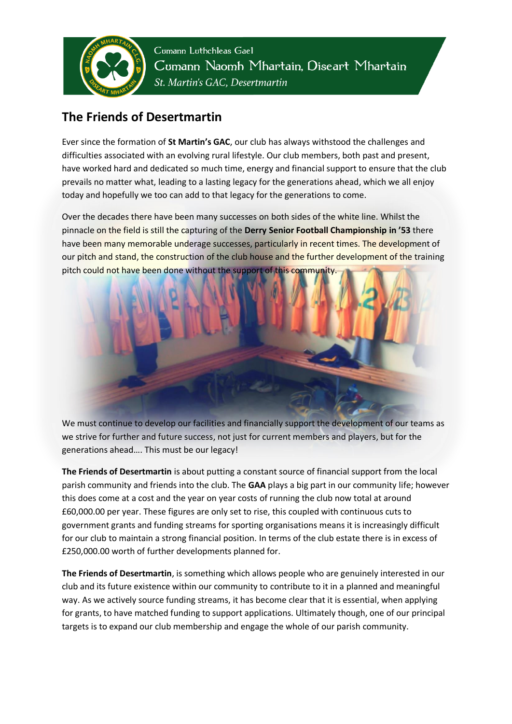

Cumann Luthchleas Gael Cumann Naomh Mhartain, Diseart Mhartain St. Martin's GAC, Desertmartin

## **The Friends of Desertmartin**

Ever since the formation of **St Martin's GAC**, our club has always withstood the challenges and difficulties associated with an evolving rural lifestyle. Our club members, both past and present, have worked hard and dedicated so much time, energy and financial support to ensure that the club prevails no matter what, leading to a lasting legacy for the generations ahead, which we all enjoy today and hopefully we too can add to that legacy for the generations to come.

Over the decades there have been many successes on both sides of the white line. Whilst the pinnacle on the field is still the capturing of the **Derry Senior Football Championship in '53** there have been many memorable underage successes, particularly in recent times. The development of our pitch and stand, the construction of the club house and the further development of the training pitch could not have been done without the support of this community



We must continue to develop our facilities and financially support the development of our teams as we strive for further and future success, not just for current members and players, but for the generations ahead…. This must be our legacy!

**The Friends of Desertmartin** is about putting a constant source of financial support from the local parish community and friends into the club. The **GAA** plays a big part in our community life; however this does come at a cost and the year on year costs of running the club now total at around £60,000.00 per year. These figures are only set to rise, this coupled with continuous cuts to government grants and funding streams for sporting organisations means it is increasingly difficult for our club to maintain a strong financial position. In terms of the club estate there is in excess of £250,000.00 worth of further developments planned for.

**The Friends of Desertmartin**, is something which allows people who are genuinely interested in our club and its future existence within our community to contribute to it in a planned and meaningful way. As we actively source funding streams, it has become clear that it is essential, when applying for grants, to have matched funding to support applications. Ultimately though, one of our principal targets is to expand our club membership and engage the whole of our parish community.